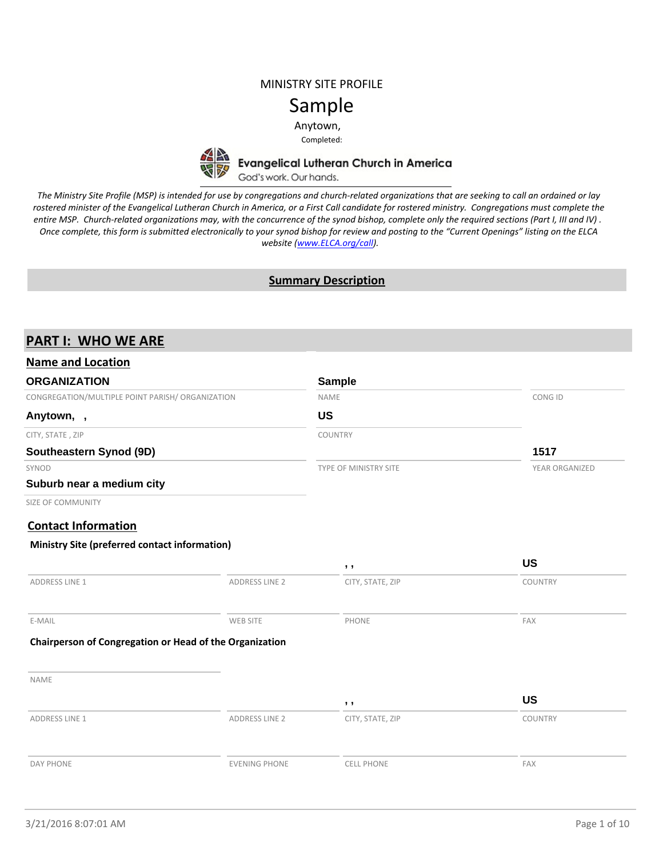## MINISTRY SITE PROFILE

# Sample

Anytown,

Completed:



Evangelical Lutheran Church in America<br>God's work. Our hands.

*The Ministry Site Profile (MSP) is intended for use by congregations and church-related organizations that are seeking to call an ordained or lay rostered minister of the Evangelical Lutheran Church in America, or a First Call candidate for rostered ministry. Congregations must complete the entire MSP. Church-related organizations may, with the concurrence of the synod bishop, complete only the required sections (Part I, III and IV) . Once complete, this form is submitted electronically to your synod bishop for review and posting to the "Current Openings" listing on the ELCA website ([www.ELCA.org/call\)](http://www.elca.org/call).*

### **Summary Description**

# **PART I: WHO WE ARE**

| <b>Name and Location</b>                                |                       |                       |                |
|---------------------------------------------------------|-----------------------|-----------------------|----------------|
| <b>ORGANIZATION</b>                                     |                       | <b>Sample</b>         |                |
| CONGREGATION/MULTIPLE POINT PARISH/ ORGANIZATION        |                       | NAME                  | CONG ID        |
| Anytown,,                                               |                       | <b>US</b>             |                |
| CITY, STATE, ZIP                                        |                       | COUNTRY               |                |
| Southeastern Synod (9D)                                 |                       |                       | 1517           |
| SYNOD                                                   |                       | TYPE OF MINISTRY SITE | YEAR ORGANIZED |
| Suburb near a medium city                               |                       |                       |                |
| SIZE OF COMMUNITY                                       |                       |                       |                |
| <b>Contact Information</b>                              |                       |                       |                |
| Ministry Site (preferred contact information)           |                       |                       |                |
|                                                         |                       | , ,                   | <b>US</b>      |
| <b>ADDRESS LINE 1</b>                                   | <b>ADDRESS LINE 2</b> | CITY, STATE, ZIP      | COUNTRY        |
| E-MAIL                                                  | WEB SITE              | PHONE                 | FAX            |
| Chairperson of Congregation or Head of the Organization |                       |                       |                |
| <b>NAME</b>                                             |                       |                       |                |
|                                                         |                       | , ,                   | <b>US</b>      |
| <b>ADDRESS LINE 1</b>                                   | <b>ADDRESS LINE 2</b> | CITY, STATE, ZIP      | COUNTRY        |
| DAY PHONE                                               | <b>EVENING PHONE</b>  | <b>CELL PHONE</b>     | FAX            |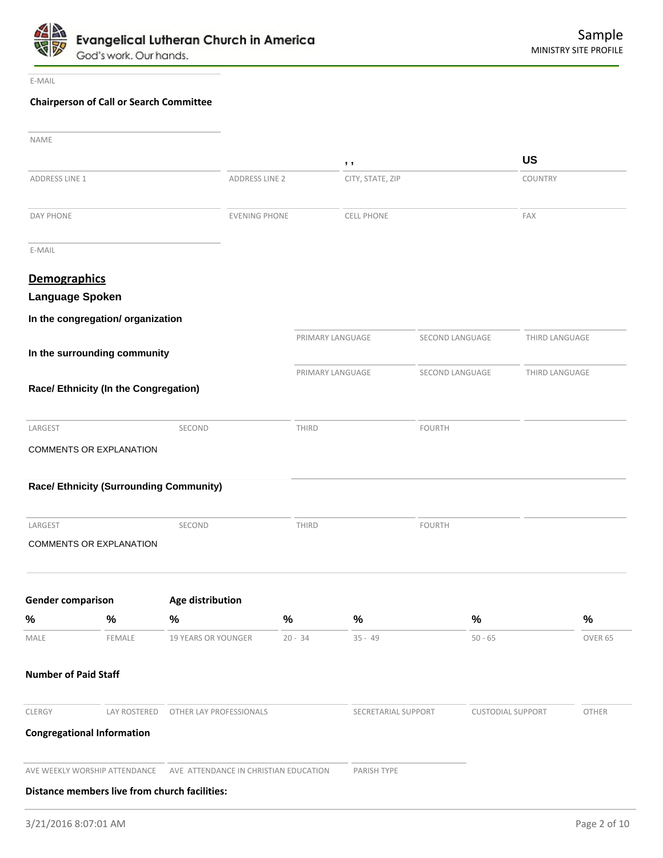

E-MAIL

# **Chairperson of Call or Search Committee**

| <b>NAME</b>                 |                                                |                                                                     |                  |                     |               |                          |                |              |
|-----------------------------|------------------------------------------------|---------------------------------------------------------------------|------------------|---------------------|---------------|--------------------------|----------------|--------------|
|                             |                                                |                                                                     |                  | , ,                 |               |                          | <b>US</b>      |              |
| ADDRESS LINE 1              |                                                | ADDRESS LINE 2                                                      |                  | CITY, STATE, ZIP    |               |                          | COUNTRY        |              |
| DAY PHONE                   |                                                | <b>EVENING PHONE</b>                                                |                  | <b>CELL PHONE</b>   |               |                          | FAX            |              |
| E-MAIL                      |                                                |                                                                     |                  |                     |               |                          |                |              |
| <b>Demographics</b>         |                                                |                                                                     |                  |                     |               |                          |                |              |
| Language Spoken             |                                                |                                                                     |                  |                     |               |                          |                |              |
|                             | In the congregation/ organization              |                                                                     |                  |                     |               |                          |                |              |
|                             | In the surrounding community                   |                                                                     | PRIMARY LANGUAGE |                     |               | SECOND LANGUAGE          | THIRD LANGUAGE |              |
|                             |                                                |                                                                     | PRIMARY LANGUAGE |                     |               | SECOND LANGUAGE          | THIRD LANGUAGE |              |
|                             | Race/ Ethnicity (In the Congregation)          |                                                                     |                  |                     |               |                          |                |              |
| LARGEST                     |                                                | SECOND                                                              | THIRD            |                     | <b>FOURTH</b> |                          |                |              |
|                             | COMMENTS OR EXPLANATION                        |                                                                     |                  |                     |               |                          |                |              |
|                             | <b>Race/ Ethnicity (Surrounding Community)</b> |                                                                     |                  |                     |               |                          |                |              |
| LARGEST                     |                                                | SECOND                                                              | THIRD            |                     | <b>FOURTH</b> |                          |                |              |
|                             | <b>COMMENTS OR EXPLANATION</b>                 |                                                                     |                  |                     |               |                          |                |              |
| <b>Gender comparison</b>    |                                                | Age distribution                                                    |                  |                     |               |                          |                |              |
| %                           | $\%$                                           | $\%$                                                                | $\%$             | %                   |               | $\%$                     |                | $\%$         |
| MALE                        | FEMALE                                         | 19 YEARS OR YOUNGER                                                 | $20 - 34$        | $35 - 49$           |               | $50 - 65$                |                | OVER 65      |
| <b>Number of Paid Staff</b> |                                                |                                                                     |                  |                     |               |                          |                |              |
| CLERGY                      |                                                | LAY ROSTERED   OTHER LAY PROFESSIONALS                              |                  | SECRETARIAL SUPPORT |               | <b>CUSTODIAL SUPPORT</b> |                | <b>OTHER</b> |
|                             | <b>Congregational Information</b>              |                                                                     |                  |                     |               |                          |                |              |
|                             |                                                | AVE WEEKLY WORSHIP ATTENDANCE AVE ATTENDANCE IN CHRISTIAN EDUCATION |                  | PARISH TYPE         |               |                          |                |              |
|                             | Distance members live from church facilities:  |                                                                     |                  |                     |               |                          |                |              |
|                             |                                                |                                                                     |                  |                     |               |                          |                |              |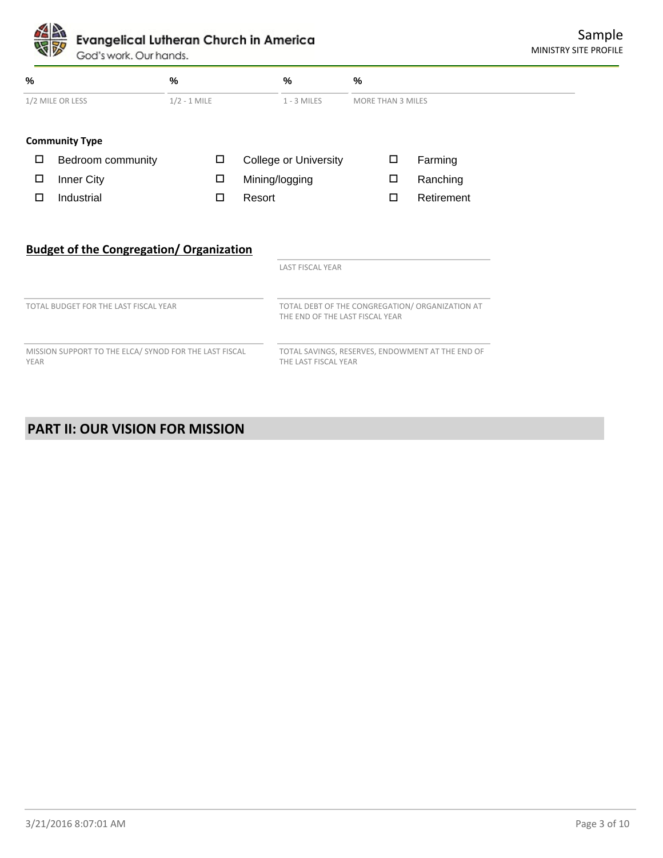God's work. Our hands.

| $\%$                                                                  |                                                 | $\frac{9}{6}$  |                                                                                    | %                            | %                        |        |            |
|-----------------------------------------------------------------------|-------------------------------------------------|----------------|------------------------------------------------------------------------------------|------------------------------|--------------------------|--------|------------|
|                                                                       | 1/2 MILE OR LESS                                | $1/2 - 1$ MILE |                                                                                    | $1 - 3$ MILES                | <b>MORE THAN 3 MILES</b> |        |            |
|                                                                       | <b>Community Type</b>                           |                |                                                                                    |                              |                          |        |            |
| □                                                                     | Bedroom community                               | □              |                                                                                    | <b>College or University</b> |                          | □      | Farming    |
| □                                                                     | Inner City                                      | 口              |                                                                                    | Mining/logging               |                          | $\Box$ | Ranching   |
| □                                                                     | Industrial                                      | $\Box$         |                                                                                    | Resort                       |                          | □      | Retirement |
|                                                                       | <b>Budget of the Congregation/ Organization</b> |                |                                                                                    | <b>LAST FISCAL YEAR</b>      |                          |        |            |
| TOTAL BUDGET FOR THE LAST FISCAL YEAR                                 |                                                 |                | TOTAL DEBT OF THE CONGREGATION/ ORGANIZATION AT<br>THE END OF THE LAST FISCAL YEAR |                              |                          |        |            |
| MISSION SUPPORT TO THE ELCA/ SYNOD FOR THE LAST FISCAL<br><b>YEAR</b> |                                                 |                | TOTAL SAVINGS, RESERVES, ENDOWMENT AT THE END OF<br>THE LAST FISCAL YEAR           |                              |                          |        |            |

# **PART II: OUR VISION FOR MISSION**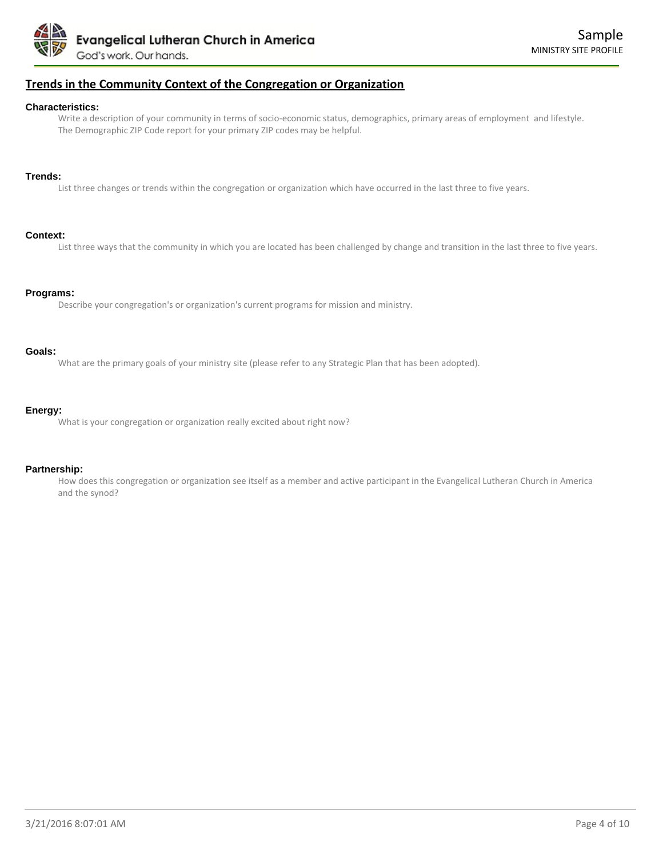

### **Trends in the Community Context of the Congregation or Organization**

#### **Characteristics:**

Write a description of your community in terms of socio-economic status, demographics, primary areas of employment and lifestyle. The Demographic ZIP Code report for your primary ZIP codes may be helpful.

#### **Trends:**

List three changes or trends within the congregation or organization which have occurred in the last three to five years.

#### **Context:**

List three ways that the community in which you are located has been challenged by change and transition in the last three to five years.

#### **Programs:**

Describe your congregation's or organization's current programs for mission and ministry.

#### **Goals:**

What are the primary goals of your ministry site (please refer to any Strategic Plan that has been adopted).

#### **Energy:**

What is your congregation or organization really excited about right now?

#### **Partnership:**

How does this congregation or organization see itself as a member and active participant in the Evangelical Lutheran Church in America and the synod?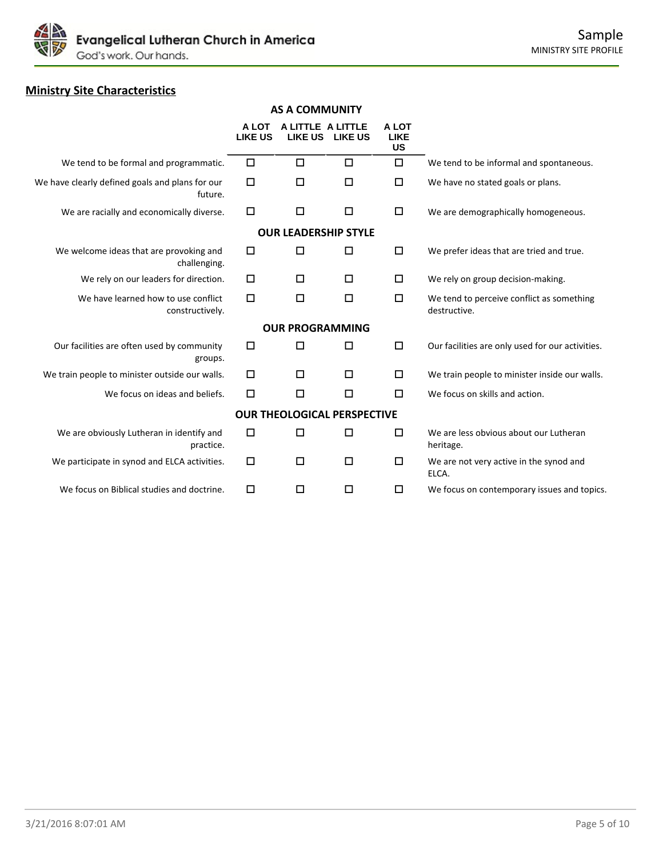

# **Ministry Site Characteristics**

|                                                            | <b>AS A COMMUNITY</b>   |                                    |                 |                                   |                                                           |  |  |
|------------------------------------------------------------|-------------------------|------------------------------------|-----------------|-----------------------------------|-----------------------------------------------------------|--|--|
|                                                            | A LOT<br><b>LIKE US</b> | A LITTLE A LITTLE                  | LIKE US LIKE US | A LOT<br><b>LIKE</b><br><b>US</b> |                                                           |  |  |
| We tend to be formal and programmatic.                     | □                       | $\Box$                             | □               | $\Box$                            | We tend to be informal and spontaneous.                   |  |  |
| We have clearly defined goals and plans for our<br>future. | □                       | □                                  | □               | □                                 | We have no stated goals or plans.                         |  |  |
| We are racially and economically diverse.                  | □                       | □                                  | □               | □                                 | We are demographically homogeneous.                       |  |  |
|                                                            |                         | <b>OUR LEADERSHIP STYLE</b>        |                 |                                   |                                                           |  |  |
| We welcome ideas that are provoking and<br>challenging.    | □                       | $\Box$                             | □               | $\Box$                            | We prefer ideas that are tried and true.                  |  |  |
| We rely on our leaders for direction.                      | □                       | $\Box$                             | □               | □                                 | We rely on group decision-making.                         |  |  |
| We have learned how to use conflict<br>constructively.     | □                       | □                                  | □               | $\Box$                            | We tend to perceive conflict as something<br>destructive. |  |  |
|                                                            |                         | <b>OUR PROGRAMMING</b>             |                 |                                   |                                                           |  |  |
| Our facilities are often used by community<br>groups.      | □                       | □                                  | □               | $\Box$                            | Our facilities are only used for our activities.          |  |  |
| We train people to minister outside our walls.             | $\Box$                  | □                                  | □               | □                                 | We train people to minister inside our walls.             |  |  |
| We focus on ideas and beliefs.                             | □                       | □                                  | □               | □                                 | We focus on skills and action.                            |  |  |
|                                                            |                         | <b>OUR THEOLOGICAL PERSPECTIVE</b> |                 |                                   |                                                           |  |  |
| We are obviously Lutheran in identify and<br>practice.     | □                       | □                                  | □               | □                                 | We are less obvious about our Lutheran<br>heritage.       |  |  |
| We participate in synod and ELCA activities.               | □                       | $\Box$                             | □               | □                                 | We are not very active in the synod and<br>ELCA.          |  |  |
| We focus on Biblical studies and doctrine.                 | □                       | □                                  | □               | □                                 | We focus on contemporary issues and topics.               |  |  |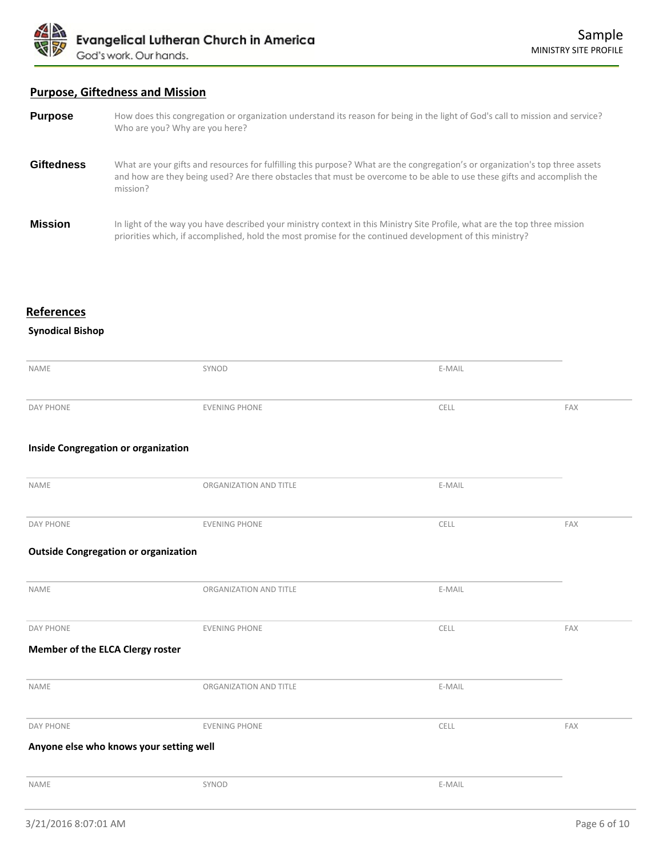

# **Purpose, Giftedness and Mission**

| <b>Purpose</b>    | How does this congregation or organization understand its reason for being in the light of God's call to mission and service?<br>Who are you? Why are you here?                                                                                                      |
|-------------------|----------------------------------------------------------------------------------------------------------------------------------------------------------------------------------------------------------------------------------------------------------------------|
| <b>Giftedness</b> | What are your gifts and resources for fulfilling this purpose? What are the congregation's or organization's top three assets<br>and how are they being used? Are there obstacles that must be overcome to be able to use these gifts and accomplish the<br>mission? |
| <b>Mission</b>    | In light of the way you have described your ministry context in this Ministry Site Profile, what are the top three mission<br>priorities which, if accomplished, hold the most promise for the continued development of this ministry?                               |

# **References**

# **Synodical Bishop**

| <b>NAME</b>                                 | SYNOD                  | E-MAIL |     |
|---------------------------------------------|------------------------|--------|-----|
|                                             |                        |        |     |
| <b>DAY PHONE</b>                            | <b>EVENING PHONE</b>   | CELL   | FAX |
|                                             |                        |        |     |
| Inside Congregation or organization         |                        |        |     |
|                                             |                        |        |     |
| NAME                                        | ORGANIZATION AND TITLE | E-MAIL |     |
|                                             |                        |        |     |
| <b>DAY PHONE</b>                            | <b>EVENING PHONE</b>   | CELL   | FAX |
| <b>Outside Congregation or organization</b> |                        |        |     |
|                                             |                        |        |     |
| NAME                                        | ORGANIZATION AND TITLE | E-MAIL |     |
|                                             |                        |        |     |
| <b>DAY PHONE</b>                            | <b>EVENING PHONE</b>   | CELL   | FAX |
| Member of the ELCA Clergy roster            |                        |        |     |
|                                             |                        |        |     |
| NAME                                        | ORGANIZATION AND TITLE | E-MAIL |     |
|                                             |                        |        |     |
| <b>DAY PHONE</b>                            | <b>EVENING PHONE</b>   | CELL   | FAX |
| Anyone else who knows your setting well     |                        |        |     |
|                                             |                        |        |     |
| <b>NAME</b>                                 | SYNOD                  | E-MAIL |     |
|                                             |                        |        |     |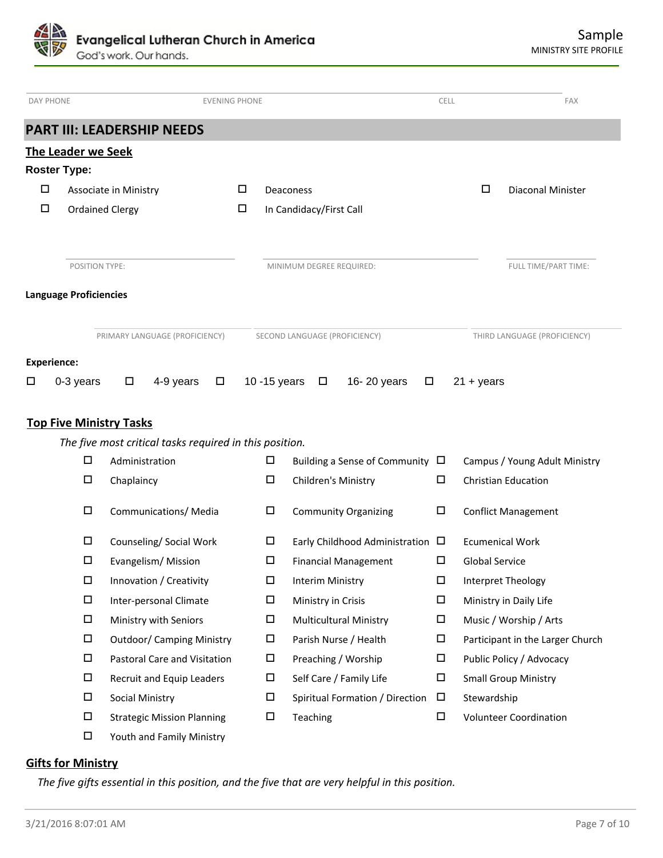Evangelical Lutheran Church in America God's work. Our hands.

| <b>DAY PHONE</b>    |                                |                        |                                                         | <b>EVENING PHONE</b> |               |                               |                                      | <b>CELL</b> |              | <b>FAX</b>                    |
|---------------------|--------------------------------|------------------------|---------------------------------------------------------|----------------------|---------------|-------------------------------|--------------------------------------|-------------|--------------|-------------------------------|
|                     |                                |                        | <b>PART III: LEADERSHIP NEEDS</b>                       |                      |               |                               |                                      |             |              |                               |
|                     | The Leader we Seek             |                        |                                                         |                      |               |                               |                                      |             |              |                               |
| <b>Roster Type:</b> |                                |                        |                                                         |                      |               |                               |                                      |             |              |                               |
| $\Box$              |                                | Associate in Ministry  |                                                         | □                    |               | Deaconess                     |                                      |             | $\Box$       | <b>Diaconal Minister</b>      |
| □                   |                                | <b>Ordained Clergy</b> |                                                         | □                    |               | In Candidacy/First Call       |                                      |             |              |                               |
|                     |                                |                        |                                                         |                      |               |                               |                                      |             |              |                               |
|                     | <b>POSITION TYPE:</b>          |                        |                                                         |                      |               | MINIMUM DEGREE REQUIRED:      |                                      |             |              | FULL TIME/PART TIME:          |
|                     | <b>Language Proficiencies</b>  |                        |                                                         |                      |               |                               |                                      |             |              |                               |
|                     |                                |                        | PRIMARY LANGUAGE (PROFICIENCY)                          |                      |               | SECOND LANGUAGE (PROFICIENCY) |                                      |             |              | THIRD LANGUAGE (PROFICIENCY)  |
| <b>Experience:</b>  |                                |                        |                                                         |                      |               |                               |                                      |             |              |                               |
| □                   | 0-3 years                      | $\Box$                 | 4-9 years                                               | $\Box$               | 10 - 15 years | $\Box$                        | 16-20 years                          | $\Box$      | $21 + years$ |                               |
|                     | <b>Top Five Ministry Tasks</b> |                        |                                                         |                      |               |                               |                                      |             |              |                               |
|                     |                                |                        | The five most critical tasks required in this position. |                      |               |                               |                                      |             |              |                               |
|                     | $\Box$                         | Administration         |                                                         |                      | □             |                               | Building a Sense of Community $\Box$ |             |              | Campus / Young Adult Ministry |
|                     | □                              | Chaplaincy             |                                                         |                      | $\Box$        | Children's Ministry           |                                      | □           |              | <b>Christian Education</b>    |
|                     | □                              |                        | Communications/ Media                                   |                      | □             |                               | <b>Community Organizing</b>          | □           |              | <b>Conflict Management</b>    |

| □ | Communications/ Media             | □ | <b>Community Organizing</b>           | □ | <b>Conflict Management</b>       |
|---|-----------------------------------|---|---------------------------------------|---|----------------------------------|
| □ | Counseling/ Social Work           | ш | Early Childhood Administration $\Box$ |   | <b>Ecumenical Work</b>           |
| □ | Evangelism/Mission                | □ | <b>Financial Management</b>           | □ | <b>Global Service</b>            |
| □ | Innovation / Creativity           | □ | Interim Ministry                      | □ | Interpret Theology               |
| □ | Inter-personal Climate            | □ | Ministry in Crisis                    | □ | Ministry in Daily Life           |
| □ | Ministry with Seniors             | □ | <b>Multicultural Ministry</b>         | □ | Music / Worship / Arts           |
| □ | <b>Outdoor/ Camping Ministry</b>  | □ | Parish Nurse / Health                 | □ | Participant in the Larger Church |
| □ | Pastoral Care and Visitation      | □ | Preaching / Worship                   | □ | Public Policy / Advocacy         |
| □ | Recruit and Equip Leaders         | □ | Self Care / Family Life               | □ | <b>Small Group Ministry</b>      |
| □ | Social Ministry                   | □ | Spiritual Formation / Direction       | □ | Stewardship                      |
| □ | <b>Strategic Mission Planning</b> | □ | Teaching                              | □ | <b>Volunteer Coordination</b>    |
| □ | Youth and Family Ministry         |   |                                       |   |                                  |

# **Gifts for Ministry**

*The five gifts essential in this position, and the five that are very helpful in this position.*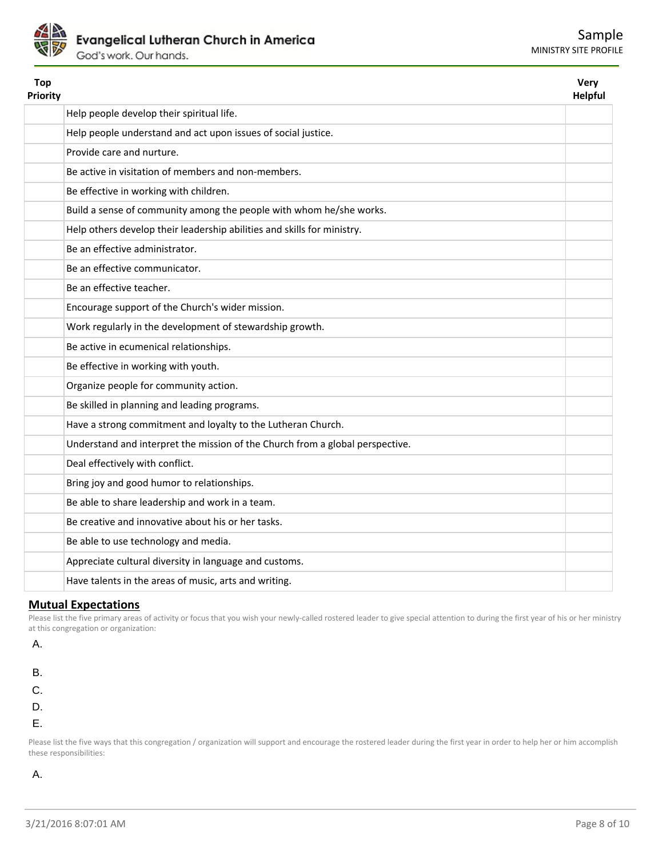

| Help people develop their spiritual life.<br>Help people understand and act upon issues of social justice.<br>Provide care and nurture.<br>Be active in visitation of members and non-members.<br>Be effective in working with children.<br>Build a sense of community among the people with whom he/she works.<br>Help others develop their leadership abilities and skills for ministry.<br>Be an effective administrator.<br>Be an effective communicator.<br>Be an effective teacher.<br>Encourage support of the Church's wider mission.<br>Work regularly in the development of stewardship growth.<br>Be active in ecumenical relationships.<br>Be effective in working with youth.<br>Organize people for community action.<br>Be skilled in planning and leading programs.<br>Have a strong commitment and loyalty to the Lutheran Church.<br>Understand and interpret the mission of the Church from a global perspective.<br>Deal effectively with conflict.<br>Bring joy and good humor to relationships.<br>Be able to share leadership and work in a team.<br>Be creative and innovative about his or her tasks.<br>Be able to use technology and media.<br>Appreciate cultural diversity in language and customs.<br>Have talents in the areas of music, arts and writing. | <b>Top</b><br>Priority | Very<br><b>Helpful</b> |
|-------------------------------------------------------------------------------------------------------------------------------------------------------------------------------------------------------------------------------------------------------------------------------------------------------------------------------------------------------------------------------------------------------------------------------------------------------------------------------------------------------------------------------------------------------------------------------------------------------------------------------------------------------------------------------------------------------------------------------------------------------------------------------------------------------------------------------------------------------------------------------------------------------------------------------------------------------------------------------------------------------------------------------------------------------------------------------------------------------------------------------------------------------------------------------------------------------------------------------------------------------------------------------------------|------------------------|------------------------|
|                                                                                                                                                                                                                                                                                                                                                                                                                                                                                                                                                                                                                                                                                                                                                                                                                                                                                                                                                                                                                                                                                                                                                                                                                                                                                           |                        |                        |
|                                                                                                                                                                                                                                                                                                                                                                                                                                                                                                                                                                                                                                                                                                                                                                                                                                                                                                                                                                                                                                                                                                                                                                                                                                                                                           |                        |                        |
|                                                                                                                                                                                                                                                                                                                                                                                                                                                                                                                                                                                                                                                                                                                                                                                                                                                                                                                                                                                                                                                                                                                                                                                                                                                                                           |                        |                        |
|                                                                                                                                                                                                                                                                                                                                                                                                                                                                                                                                                                                                                                                                                                                                                                                                                                                                                                                                                                                                                                                                                                                                                                                                                                                                                           |                        |                        |
|                                                                                                                                                                                                                                                                                                                                                                                                                                                                                                                                                                                                                                                                                                                                                                                                                                                                                                                                                                                                                                                                                                                                                                                                                                                                                           |                        |                        |
|                                                                                                                                                                                                                                                                                                                                                                                                                                                                                                                                                                                                                                                                                                                                                                                                                                                                                                                                                                                                                                                                                                                                                                                                                                                                                           |                        |                        |
|                                                                                                                                                                                                                                                                                                                                                                                                                                                                                                                                                                                                                                                                                                                                                                                                                                                                                                                                                                                                                                                                                                                                                                                                                                                                                           |                        |                        |
|                                                                                                                                                                                                                                                                                                                                                                                                                                                                                                                                                                                                                                                                                                                                                                                                                                                                                                                                                                                                                                                                                                                                                                                                                                                                                           |                        |                        |
|                                                                                                                                                                                                                                                                                                                                                                                                                                                                                                                                                                                                                                                                                                                                                                                                                                                                                                                                                                                                                                                                                                                                                                                                                                                                                           |                        |                        |
|                                                                                                                                                                                                                                                                                                                                                                                                                                                                                                                                                                                                                                                                                                                                                                                                                                                                                                                                                                                                                                                                                                                                                                                                                                                                                           |                        |                        |
|                                                                                                                                                                                                                                                                                                                                                                                                                                                                                                                                                                                                                                                                                                                                                                                                                                                                                                                                                                                                                                                                                                                                                                                                                                                                                           |                        |                        |
|                                                                                                                                                                                                                                                                                                                                                                                                                                                                                                                                                                                                                                                                                                                                                                                                                                                                                                                                                                                                                                                                                                                                                                                                                                                                                           |                        |                        |
|                                                                                                                                                                                                                                                                                                                                                                                                                                                                                                                                                                                                                                                                                                                                                                                                                                                                                                                                                                                                                                                                                                                                                                                                                                                                                           |                        |                        |
|                                                                                                                                                                                                                                                                                                                                                                                                                                                                                                                                                                                                                                                                                                                                                                                                                                                                                                                                                                                                                                                                                                                                                                                                                                                                                           |                        |                        |
|                                                                                                                                                                                                                                                                                                                                                                                                                                                                                                                                                                                                                                                                                                                                                                                                                                                                                                                                                                                                                                                                                                                                                                                                                                                                                           |                        |                        |
|                                                                                                                                                                                                                                                                                                                                                                                                                                                                                                                                                                                                                                                                                                                                                                                                                                                                                                                                                                                                                                                                                                                                                                                                                                                                                           |                        |                        |
|                                                                                                                                                                                                                                                                                                                                                                                                                                                                                                                                                                                                                                                                                                                                                                                                                                                                                                                                                                                                                                                                                                                                                                                                                                                                                           |                        |                        |
|                                                                                                                                                                                                                                                                                                                                                                                                                                                                                                                                                                                                                                                                                                                                                                                                                                                                                                                                                                                                                                                                                                                                                                                                                                                                                           |                        |                        |
|                                                                                                                                                                                                                                                                                                                                                                                                                                                                                                                                                                                                                                                                                                                                                                                                                                                                                                                                                                                                                                                                                                                                                                                                                                                                                           |                        |                        |
|                                                                                                                                                                                                                                                                                                                                                                                                                                                                                                                                                                                                                                                                                                                                                                                                                                                                                                                                                                                                                                                                                                                                                                                                                                                                                           |                        |                        |
|                                                                                                                                                                                                                                                                                                                                                                                                                                                                                                                                                                                                                                                                                                                                                                                                                                                                                                                                                                                                                                                                                                                                                                                                                                                                                           |                        |                        |
|                                                                                                                                                                                                                                                                                                                                                                                                                                                                                                                                                                                                                                                                                                                                                                                                                                                                                                                                                                                                                                                                                                                                                                                                                                                                                           |                        |                        |
|                                                                                                                                                                                                                                                                                                                                                                                                                                                                                                                                                                                                                                                                                                                                                                                                                                                                                                                                                                                                                                                                                                                                                                                                                                                                                           |                        |                        |
|                                                                                                                                                                                                                                                                                                                                                                                                                                                                                                                                                                                                                                                                                                                                                                                                                                                                                                                                                                                                                                                                                                                                                                                                                                                                                           |                        |                        |
|                                                                                                                                                                                                                                                                                                                                                                                                                                                                                                                                                                                                                                                                                                                                                                                                                                                                                                                                                                                                                                                                                                                                                                                                                                                                                           |                        |                        |

### **Mutual Expectations**

Please list the five primary areas of activity or focus that you wish your newly-called rostered leader to give special attention to during the first year of his or her ministry at this congregation or organization:

A.

- B.
- C.
- D.
- E.

Please list the five ways that this congregation / organization will support and encourage the rostered leader during the first year in order to help her or him accomplish these responsibilities:

A.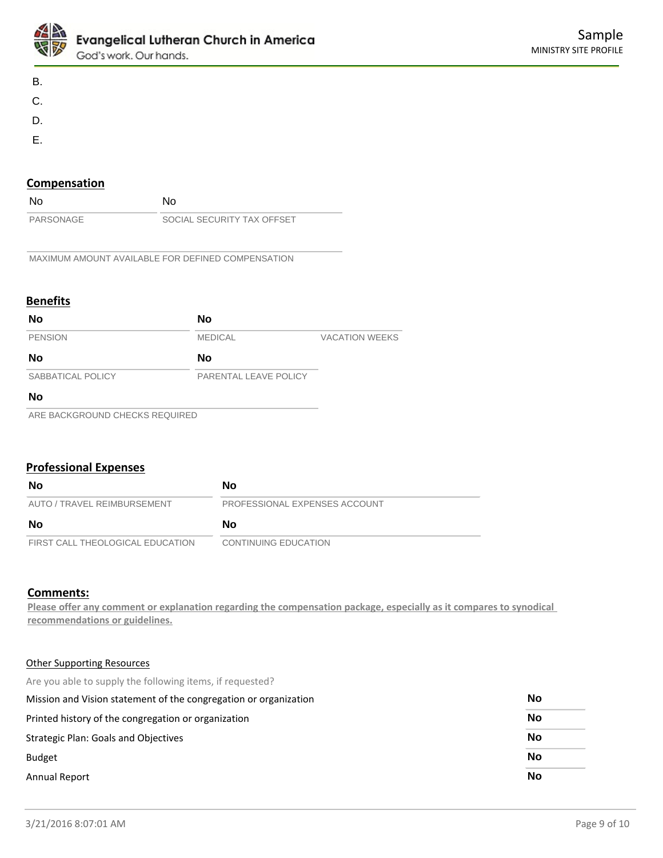

- B.
- C.
- D.
- E.
- **Compensation**

| <b>No</b> | N٥                         |
|-----------|----------------------------|
| PARSONAGE | SOCIAL SECURITY TAX OFFSET |

MAXIMUM AMOUNT AVAILABLE FOR DEFINED COMPENSATION

# **Benefits**

| No                             | No                    |                       |
|--------------------------------|-----------------------|-----------------------|
| <b>PENSION</b>                 | <b>MEDICAL</b>        | <b>VACATION WEEKS</b> |
| No                             | No                    |                       |
| SABBATICAL POLICY              | PARENTAL LEAVE POLICY |                       |
| No                             |                       |                       |
| ARE BACKGROUND CHECKS REQUIRED |                       |                       |

# **Professional Expenses**

| No                               | <b>No</b>                     |
|----------------------------------|-------------------------------|
| AUTO / TRAVEL REIMBURSEMENT      | PROFESSIONAL EXPENSES ACCOUNT |
| No                               | <b>No</b>                     |
| FIRST CALL THEOLOGICAL EDUCATION | <b>CONTINUING EDUCATION</b>   |

# **Comments:**

**Please offer any comment or explanation regarding the compensation package, especially as it compares to synodical recommendations or guidelines.**

### Other Supporting Resources

Are you able to supply the following items, if requested?

| Mission and Vision statement of the congregation or organization | No        |  |
|------------------------------------------------------------------|-----------|--|
| Printed history of the congregation or organization              | No        |  |
| Strategic Plan: Goals and Objectives                             | No        |  |
| <b>Budget</b>                                                    | No        |  |
| Annual Report                                                    | <b>No</b> |  |